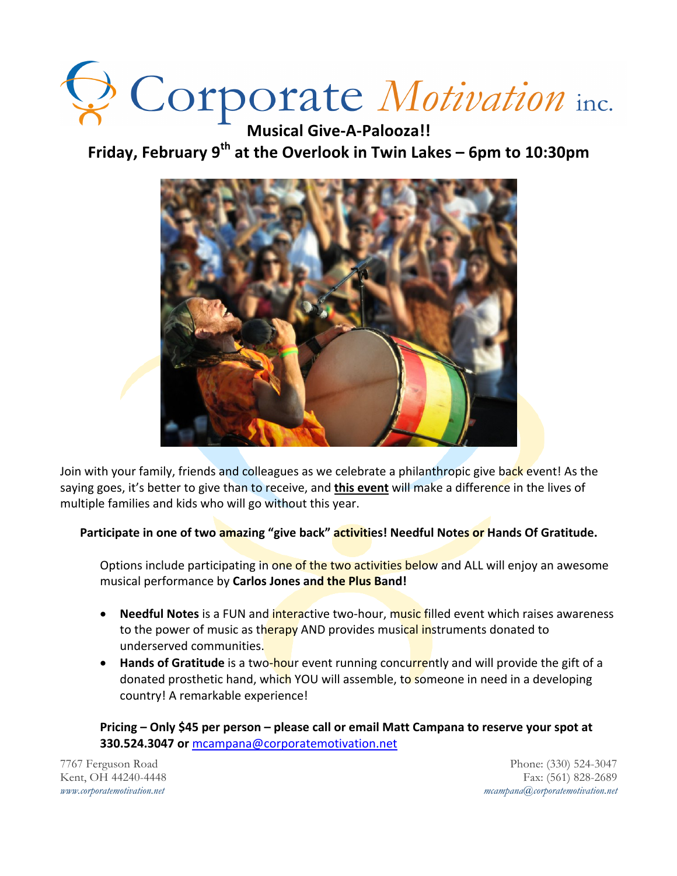# Corporate Motivation inc.

**Friday, February 9<sup>th</sup> at the Overlook in Twin Lakes – 6pm to 10:30pm** 



Join with your family, friends and colleagues as we celebrate a philanthropic give back event! As the saying goes, it's better to give than to receive, and **this event** will make a difference in the lives of multiple families and kids who will go without this year.

## Participate in one of two **amazing** "give back" **activities!** Needful Notes or Hands Of Gratitude.

Options include participating in one of the two activities below and ALL will enjoy an awesome musical performance by **Carlos Jones and the Plus Band!** 

- **Needful Notes** is a FUN and interactive two-hour, music filled event which raises awareness to the power of music as therapy AND provides musical instruments donated to underserved communities.
- Hands of Gratitude is a two-hour event running concurrently and will provide the gift of a donated prosthetic hand, which YOU will assemble, to someone in need in a developing country! A remarkable experience!

**Pricing – Only \$45 per person – please call or email Matt Campana to reserve your spot at 330.524.3047 or** mcampana@corporatemotivation.net

7767 Ferguson Road Phone: (330) 524-3047 Kent, OH 44240-4448 Fax: (561) 828-2689 *www.corporatemotivation.net mcampana@corporatemotivation.net*